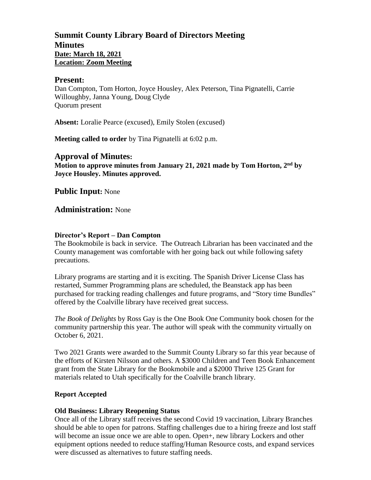# **Summit County Library Board of Directors Meeting Minutes Date: March 18, 2021 Location: Zoom Meeting**

#### **Present:**

Dan Compton, Tom Horton, Joyce Housley, Alex Peterson, Tina Pignatelli, Carrie Willoughby, Janna Young, Doug Clyde Quorum present

**Absent:** Loralie Pearce (excused), Emily Stolen (excused)

**Meeting called to order** by Tina Pignatelli at 6:02 p.m.

## **Approval of Minutes:**

**Motion to approve minutes from January 21, 2021 made by Tom Horton, 2 nd by Joyce Housley. Minutes approved.** 

**Public Input:** None

## **Administration:** None

## **Director's Report – Dan Compton**

The Bookmobile is back in service. The Outreach Librarian has been vaccinated and the County management was comfortable with her going back out while following safety precautions.

Library programs are starting and it is exciting. The Spanish Driver License Class has restarted, Summer Programming plans are scheduled, the Beanstack app has been purchased for tracking reading challenges and future programs, and "Story time Bundles" offered by the Coalville library have received great success.

*The Book of Delights* by Ross Gay is the One Book One Community book chosen for the community partnership this year. The author will speak with the community virtually on October 6, 2021.

Two 2021 Grants were awarded to the Summit County Library so far this year because of the efforts of Kirsten Nilsson and others. A \$3000 Children and Teen Book Enhancement grant from the State Library for the Bookmobile and a \$2000 Thrive 125 Grant for materials related to Utah specifically for the Coalville branch library.

#### **Report Accepted**

#### **Old Business: Library Reopening Status**

Once all of the Library staff receives the second Covid 19 vaccination, Library Branches should be able to open for patrons. Staffing challenges due to a hiring freeze and lost staff will become an issue once we are able to open. Open+, new library Lockers and other equipment options needed to reduce staffing/Human Resource costs, and expand services were discussed as alternatives to future staffing needs.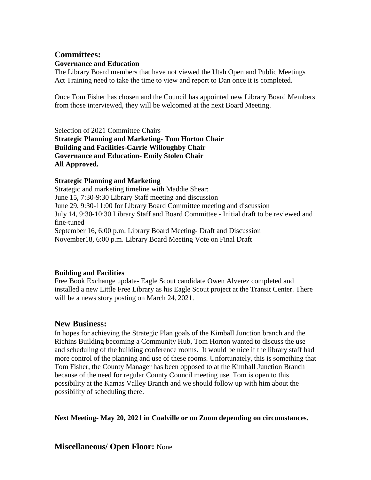## **Committees: Governance and Education**

The Library Board members that have not viewed the Utah Open and Public Meetings Act Training need to take the time to view and report to Dan once it is completed.

Once Tom Fisher has chosen and the Council has appointed new Library Board Members from those interviewed, they will be welcomed at the next Board Meeting.

Selection of 2021 Committee Chairs **Strategic Planning and Marketing- Tom Horton Chair Building and Facilities-Carrie Willoughby Chair Governance and Education- Emily Stolen Chair All Approved.**

## **Strategic Planning and Marketing**

Strategic and marketing timeline with Maddie Shear: June 15, 7:30-9:30 Library Staff meeting and discussion June 29, 9:30-11:00 for Library Board Committee meeting and discussion July 14, 9:30-10:30 Library Staff and Board Committee - Initial draft to be reviewed and fine-tuned September 16, 6:00 p.m. Library Board Meeting- Draft and Discussion November18, 6:00 p.m. Library Board Meeting Vote on Final Draft

## **Building and Facilities**

Free Book Exchange update- Eagle Scout candidate Owen Alverez completed and installed a new Little Free Library as his Eagle Scout project at the Transit Center. There will be a news story posting on March 24, 2021.

# **New Business:**

In hopes for achieving the Strategic Plan goals of the Kimball Junction branch and the Richins Building becoming a Community Hub, Tom Horton wanted to discuss the use and scheduling of the building conference rooms. It would be nice if the library staff had more control of the planning and use of these rooms. Unfortunately, this is something that Tom Fisher, the County Manager has been opposed to at the Kimball Junction Branch because of the need for regular County Council meeting use. Tom is open to this possibility at the Kamas Valley Branch and we should follow up with him about the possibility of scheduling there.

**Next Meeting- May 20, 2021 in Coalville or on Zoom depending on circumstances.** 

# **Miscellaneous/ Open Floor:** None